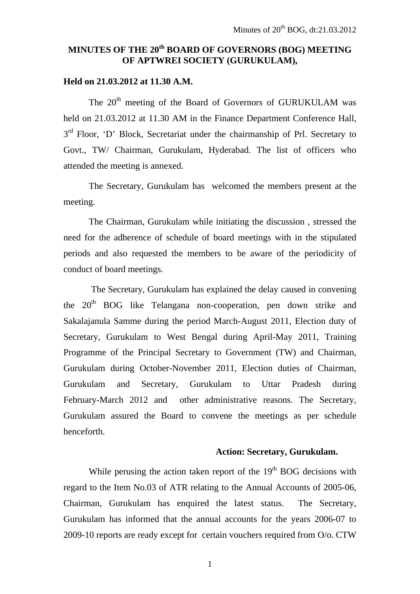# **MINUTES OF THE 20th BOARD OF GOVERNORS (BOG) MEETING OF APTWREI SOCIETY (GURUKULAM),**

## **Held on 21.03.2012 at 11.30 A.M.**

The 20<sup>th</sup> meeting of the Board of Governors of GURUKULAM was held on 21.03.2012 at 11.30 AM in the Finance Department Conference Hall, 3<sup>rd</sup> Floor, 'D' Block, Secretariat under the chairmanship of Prl. Secretary to Govt., TW/ Chairman, Gurukulam, Hyderabad. The list of officers who attended the meeting is annexed.

 The Secretary, Gurukulam has welcomed the members present at the meeting.

The Chairman, Gurukulam while initiating the discussion , stressed the need for the adherence of schedule of board meetings with in the stipulated periods and also requested the members to be aware of the periodicity of conduct of board meetings.

 The Secretary, Gurukulam has explained the delay caused in convening the  $20<sup>th</sup>$  BOG like Telangana non-cooperation, pen down strike and Sakalajanula Samme during the period March-August 2011, Election duty of Secretary, Gurukulam to West Bengal during April-May 2011, Training Programme of the Principal Secretary to Government (TW) and Chairman, Gurukulam during October-November 2011, Election duties of Chairman, Gurukulam and Secretary, Gurukulam to Uttar Pradesh during February-March 2012 and other administrative reasons. The Secretary, Gurukulam assured the Board to convene the meetings as per schedule henceforth.

#### **Action: Secretary, Gurukulam.**

While perusing the action taken report of the  $19<sup>th</sup>$  BOG decisions with regard to the Item No.03 of ATR relating to the Annual Accounts of 2005-06, Chairman, Gurukulam has enquired the latest status. The Secretary, Gurukulam has informed that the annual accounts for the years 2006-07 to 2009-10 reports are ready except for certain vouchers required from O/o. CTW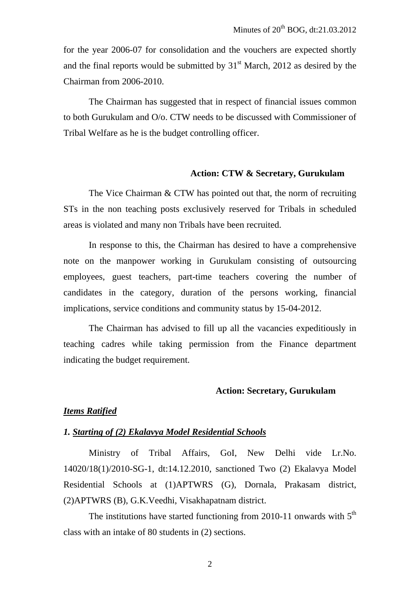for the year 2006-07 for consolidation and the vouchers are expected shortly and the final reports would be submitted by  $31<sup>st</sup>$  March, 2012 as desired by the Chairman from 2006-2010.

 The Chairman has suggested that in respect of financial issues common to both Gurukulam and O/o. CTW needs to be discussed with Commissioner of Tribal Welfare as he is the budget controlling officer.

#### **Action: CTW & Secretary, Gurukulam**

The Vice Chairman & CTW has pointed out that, the norm of recruiting STs in the non teaching posts exclusively reserved for Tribals in scheduled areas is violated and many non Tribals have been recruited.

In response to this, the Chairman has desired to have a comprehensive note on the manpower working in Gurukulam consisting of outsourcing employees, guest teachers, part-time teachers covering the number of candidates in the category, duration of the persons working, financial implications, service conditions and community status by 15-04-2012.

 The Chairman has advised to fill up all the vacancies expeditiously in teaching cadres while taking permission from the Finance department indicating the budget requirement.

#### **Action: Secretary, Gurukulam**

#### *Items Ratified*

#### *1. Starting of (2) Ekalavya Model Residential Schools*

Ministry of Tribal Affairs, GoI, New Delhi vide Lr.No. 14020/18(1)/2010-SG-1, dt:14.12.2010, sanctioned Two (2) Ekalavya Model Residential Schools at (1)APTWRS (G), Dornala, Prakasam district, (2)APTWRS (B), G.K.Veedhi, Visakhapatnam district.

The institutions have started functioning from 2010-11 onwards with  $5<sup>th</sup>$ class with an intake of 80 students in (2) sections.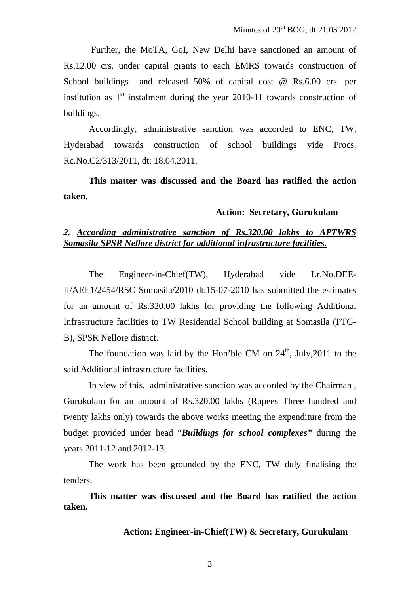Further, the MoTA, GoI, New Delhi have sanctioned an amount of Rs.12.00 crs. under capital grants to each EMRS towards construction of School buildings and released 50% of capital cost @ Rs.6.00 crs. per institution as  $1<sup>st</sup>$  instalment during the year 2010-11 towards construction of buildings.

Accordingly, administrative sanction was accorded to ENC, TW, Hyderabad towards construction of school buildings vide Procs. Rc.No.C2/313/2011, dt: 18.04.2011.

**This matter was discussed and the Board has ratified the action taken.** 

#### **Action: Secretary, Gurukulam**

## *2. According administrative sanction of Rs.320.00 lakhs to APTWRS Somasila SPSR Nellore district for additional infrastructure facilities.*

 The Engineer-in-Chief(TW), Hyderabad vide Lr.No.DEE-II/AEE1/2454/RSC Somasila/2010 dt:15-07-2010 has submitted the estimates for an amount of Rs.320.00 lakhs for providing the following Additional Infrastructure facilities to TW Residential School building at Somasila (PTG-B), SPSR Nellore district.

The foundation was laid by the Hon'ble CM on  $24<sup>th</sup>$ , July, 2011 to the said Additional infrastructure facilities.

In view of this, administrative sanction was accorded by the Chairman , Gurukulam for an amount of Rs.320.00 lakhs (Rupees Three hundred and twenty lakhs only) towards the above works meeting the expenditure from the budget provided under head "*Buildings for school complexes"* during the years 2011-12 and 2012-13.

The work has been grounded by the ENC, TW duly finalising the tenders.

**This matter was discussed and the Board has ratified the action taken.** 

 **Action: Engineer-in-Chief(TW) & Secretary, Gurukulam**

3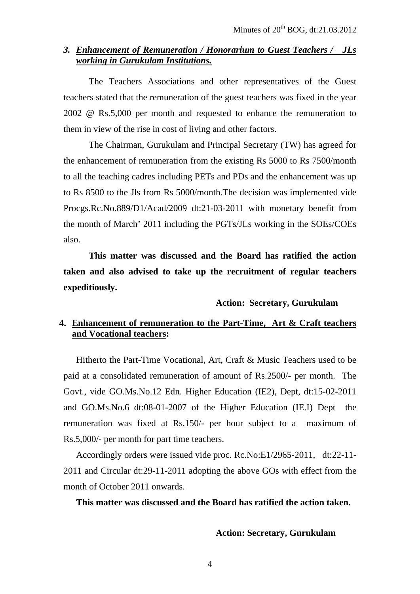#### *3. Enhancement of Remuneration / Honorarium to Guest Teachers / JLs working in Gurukulam Institutions.*

The Teachers Associations and other representatives of the Guest teachers stated that the remuneration of the guest teachers was fixed in the year 2002 @ Rs.5,000 per month and requested to enhance the remuneration to them in view of the rise in cost of living and other factors.

The Chairman, Gurukulam and Principal Secretary (TW) has agreed for the enhancement of remuneration from the existing Rs 5000 to Rs 7500/month to all the teaching cadres including PETs and PDs and the enhancement was up to Rs 8500 to the Jls from Rs 5000/month.The decision was implemented vide Procgs.Rc.No.889/D1/Acad/2009 dt:21-03-2011 with monetary benefit from the month of March' 2011 including the PGTs/JLs working in the SOEs/COEs also.

**This matter was discussed and the Board has ratified the action taken and also advised to take up the recruitment of regular teachers expeditiously.** 

#### **Action: Secretary, Gurukulam**

# **4. Enhancement of remuneration to the Part-Time, Art & Craft teachers and Vocational teachers:**

Hitherto the Part-Time Vocational, Art, Craft & Music Teachers used to be paid at a consolidated remuneration of amount of Rs.2500/- per month. The Govt., vide GO.Ms.No.12 Edn. Higher Education (IE2), Dept, dt:15-02-2011 and GO.Ms.No.6 dt:08-01-2007 of the Higher Education (IE.I) Dept the remuneration was fixed at Rs.150/- per hour subject to a maximum of Rs.5,000/- per month for part time teachers.

Accordingly orders were issued vide proc. Rc.No:E1/2965-2011, dt:22-11- 2011 and Circular dt:29-11-2011 adopting the above GOs with effect from the month of October 2011 onwards.

#### **This matter was discussed and the Board has ratified the action taken.**

**Action: Secretary, Gurukulam**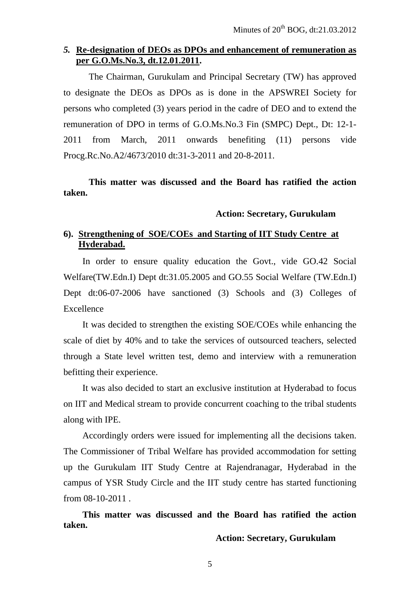# *5.* **Re-designation of DEOs as DPOs and enhancement of remuneration as per G.O.Ms.No.3, dt.12.01.2011.**

The Chairman, Gurukulam and Principal Secretary (TW) has approved to designate the DEOs as DPOs as is done in the APSWREI Society for persons who completed (3) years period in the cadre of DEO and to extend the remuneration of DPO in terms of G.O.Ms.No.3 Fin (SMPC) Dept., Dt: 12-1- 2011 from March, 2011 onwards benefiting (11) persons vide Procg.Rc.No.A2/4673/2010 dt:31-3-2011 and 20-8-2011.

# **This matter was discussed and the Board has ratified the action taken.**

#### **Action: Secretary, Gurukulam**

## **6). Strengthening of SOE/COEs and Starting of IIT Study Centre at Hyderabad.**

In order to ensure quality education the Govt., vide GO.42 Social Welfare(TW.Edn.I) Dept dt:31.05.2005 and GO.55 Social Welfare (TW.Edn.I) Dept dt:06-07-2006 have sanctioned (3) Schools and (3) Colleges of Excellence

It was decided to strengthen the existing SOE/COEs while enhancing the scale of diet by 40% and to take the services of outsourced teachers, selected through a State level written test, demo and interview with a remuneration befitting their experience.

It was also decided to start an exclusive institution at Hyderabad to focus on IIT and Medical stream to provide concurrent coaching to the tribal students along with IPE.

Accordingly orders were issued for implementing all the decisions taken. The Commissioner of Tribal Welfare has provided accommodation for setting up the Gurukulam IIT Study Centre at Rajendranagar, Hyderabad in the campus of YSR Study Circle and the IIT study centre has started functioning from 08-10-2011 .

**This matter was discussed and the Board has ratified the action taken.** 

**Action: Secretary, Gurukulam**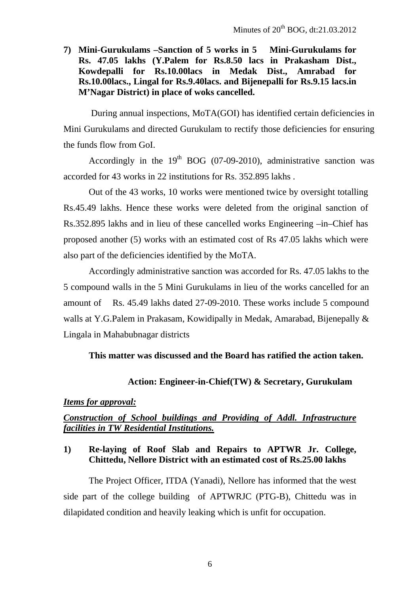**7) Mini-Gurukulams –Sanction of 5 works in 5 Mini-Gurukulams for Rs. 47.05 lakhs (Y.Palem for Rs.8.50 lacs in Prakasham Dist., Kowdepalli for Rs.10.00lacs in Medak Dist., Amrabad for Rs.10.00lacs., Lingal for Rs.9.40lacs. and Bijenepalli for Rs.9.15 lacs.in M'Nagar District) in place of woks cancelled.** 

 During annual inspections, MoTA(GOI) has identified certain deficiencies in Mini Gurukulams and directed Gurukulam to rectify those deficiencies for ensuring the funds flow from GoI.

Accordingly in the  $19<sup>th</sup>$  BOG (07-09-2010), administrative sanction was accorded for 43 works in 22 institutions for Rs. 352.895 lakhs .

Out of the 43 works, 10 works were mentioned twice by oversight totalling Rs.45.49 lakhs. Hence these works were deleted from the original sanction of Rs.352.895 lakhs and in lieu of these cancelled works Engineering –in–Chief has proposed another (5) works with an estimated cost of Rs 47.05 lakhs which were also part of the deficiencies identified by the MoTA.

Accordingly administrative sanction was accorded for Rs. 47.05 lakhs to the 5 compound walls in the 5 Mini Gurukulams in lieu of the works cancelled for an amount of Rs. 45.49 lakhs dated 27-09-2010. These works include 5 compound walls at Y.G.Palem in Prakasam, Kowidipally in Medak, Amarabad, Bijenepally & Lingala in Mahabubnagar districts

## **This matter was discussed and the Board has ratified the action taken.**

## **Action: Engineer-in-Chief(TW) & Secretary, Gurukulam**

## *Items for approval:*

# *Construction of School buildings and Providing of Addl. Infrastructure facilities in TW Residential Institutions.*

# **1) Re-laying of Roof Slab and Repairs to APTWR Jr. College, Chittedu, Nellore District with an estimated cost of Rs.25.00 lakhs**

 The Project Officer, ITDA (Yanadi), Nellore has informed that the west side part of the college building of APTWRJC (PTG-B), Chittedu was in dilapidated condition and heavily leaking which is unfit for occupation.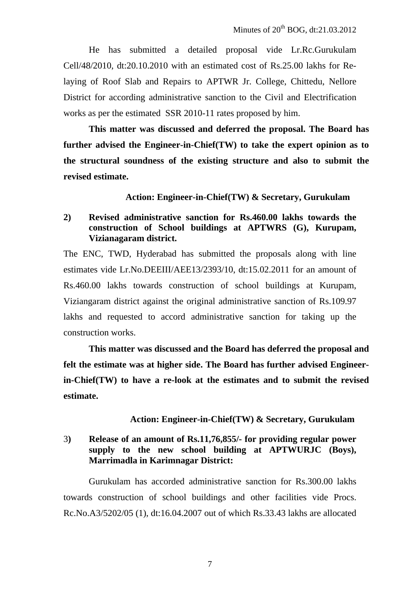He has submitted a detailed proposal vide Lr.Rc.Gurukulam Cell/48/2010, dt:20.10.2010 with an estimated cost of Rs.25.00 lakhs for Relaying of Roof Slab and Repairs to APTWR Jr. College, Chittedu, Nellore District for according administrative sanction to the Civil and Electrification works as per the estimated SSR 2010-11 rates proposed by him.

**This matter was discussed and deferred the proposal. The Board has further advised the Engineer-in-Chief(TW) to take the expert opinion as to the structural soundness of the existing structure and also to submit the revised estimate.** 

 **Action: Engineer-in-Chief(TW) & Secretary, Gurukulam**

# **2) Revised administrative sanction for Rs.460.00 lakhs towards the construction of School buildings at APTWRS (G), Kurupam, Vizianagaram district.**

The ENC, TWD, Hyderabad has submitted the proposals along with line estimates vide Lr.No.DEEIII/AEE13/2393/10, dt:15.02.2011 for an amount of Rs.460.00 lakhs towards construction of school buildings at Kurupam, Viziangaram district against the original administrative sanction of Rs.109.97 lakhs and requested to accord administrative sanction for taking up the construction works.

**This matter was discussed and the Board has deferred the proposal and felt the estimate was at higher side. The Board has further advised Engineerin-Chief(TW) to have a re-look at the estimates and to submit the revised estimate.** 

## **Action: Engineer-in-Chief(TW) & Secretary, Gurukulam**

# 3**) Release of an amount of Rs.11,76,855/- for providing regular power supply to the new school building at APTWURJC (Boys), Marrimadla in Karimnagar District:**

Gurukulam has accorded administrative sanction for Rs.300.00 lakhs towards construction of school buildings and other facilities vide Procs. Rc.No.A3/5202/05 (1), dt:16.04.2007 out of which Rs.33.43 lakhs are allocated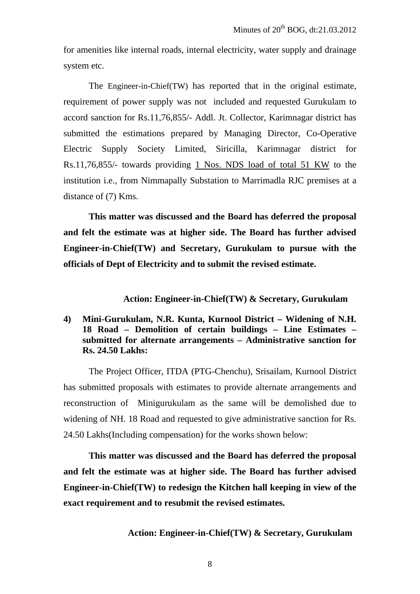for amenities like internal roads, internal electricity, water supply and drainage system etc.

The Engineer-in-Chief(TW) has reported that in the original estimate, requirement of power supply was not included and requested Gurukulam to accord sanction for Rs.11,76,855/- Addl. Jt. Collector, Karimnagar district has submitted the estimations prepared by Managing Director, Co-Operative Electric Supply Society Limited, Siricilla, Karimnagar district for Rs.11,76,855/- towards providing 1 Nos. NDS load of total 51 KW to the institution i.e., from Nimmapally Substation to Marrimadla RJC premises at a distance of (7) Kms.

**This matter was discussed and the Board has deferred the proposal and felt the estimate was at higher side. The Board has further advised Engineer-in-Chief(TW) and Secretary, Gurukulam to pursue with the officials of Dept of Electricity and to submit the revised estimate.** 

#### **Action: Engineer-in-Chief(TW) & Secretary, Gurukulam**

#### **4) Mini-Gurukulam, N.R. Kunta, Kurnool District – Widening of N.H. 18 Road – Demolition of certain buildings – Line Estimates – submitted for alternate arrangements – Administrative sanction for Rs. 24.50 Lakhs:**

The Project Officer, ITDA (PTG-Chenchu), Srisailam, Kurnool District has submitted proposals with estimates to provide alternate arrangements and reconstruction of Minigurukulam as the same will be demolished due to widening of NH. 18 Road and requested to give administrative sanction for Rs. 24.50 Lakhs(Including compensation) for the works shown below:

**This matter was discussed and the Board has deferred the proposal and felt the estimate was at higher side. The Board has further advised Engineer-in-Chief(TW) to redesign the Kitchen hall keeping in view of the exact requirement and to resubmit the revised estimates.** 

 **Action: Engineer-in-Chief(TW) & Secretary, Gurukulam**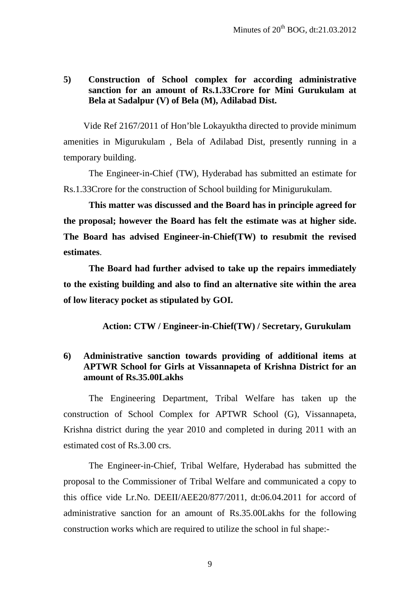## **5) Construction of School complex for according administrative sanction for an amount of Rs.1.33Crore for Mini Gurukulam at Bela at Sadalpur (V) of Bela (M), Adilabad Dist.**

Vide Ref 2167/2011 of Hon'ble Lokayuktha directed to provide minimum amenities in Migurukulam , Bela of Adilabad Dist, presently running in a temporary building.

The Engineer-in-Chief (TW), Hyderabad has submitted an estimate for Rs.1.33Crore for the construction of School building for Minigurukulam.

**This matter was discussed and the Board has in principle agreed for the proposal; however the Board has felt the estimate was at higher side. The Board has advised Engineer-in-Chief(TW) to resubmit the revised estimates**.

**The Board had further advised to take up the repairs immediately to the existing building and also to find an alternative site within the area of low literacy pocket as stipulated by GOI.** 

 **Action: CTW / Engineer-in-Chief(TW) / Secretary, Gurukulam**

## **6) Administrative sanction towards providing of additional items at APTWR School for Girls at Vissannapeta of Krishna District for an amount of Rs.35.00Lakhs**

The Engineering Department, Tribal Welfare has taken up the construction of School Complex for APTWR School (G), Vissannapeta, Krishna district during the year 2010 and completed in during 2011 with an estimated cost of Rs.3.00 crs.

The Engineer-in-Chief, Tribal Welfare, Hyderabad has submitted the proposal to the Commissioner of Tribal Welfare and communicated a copy to this office vide Lr.No. DEEII/AEE20/877/2011, dt:06.04.2011 for accord of administrative sanction for an amount of Rs.35.00Lakhs for the following construction works which are required to utilize the school in ful shape:-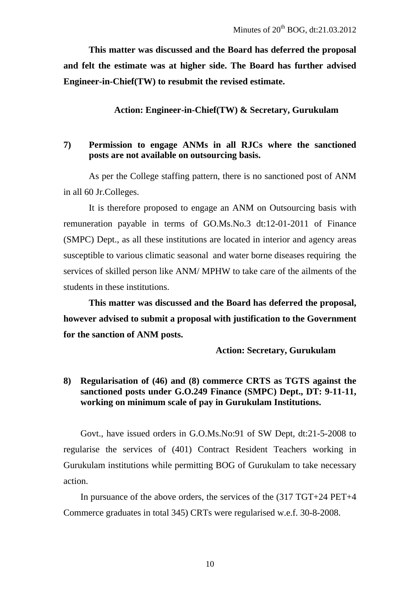**This matter was discussed and the Board has deferred the proposal and felt the estimate was at higher side. The Board has further advised Engineer-in-Chief(TW) to resubmit the revised estimate.** 

**Action: Engineer-in-Chief(TW) & Secretary, Gurukulam** 

#### **7) Permission to engage ANMs in all RJCs where the sanctioned posts are not available on outsourcing basis.**

 As per the College staffing pattern, there is no sanctioned post of ANM in all 60 Jr.Colleges.

It is therefore proposed to engage an ANM on Outsourcing basis with remuneration payable in terms of GO.Ms.No.3 dt:12-01-2011 of Finance (SMPC) Dept., as all these institutions are located in interior and agency areas susceptible to various climatic seasonal and water borne diseases requiring the services of skilled person like ANM/ MPHW to take care of the ailments of the students in these institutions.

**This matter was discussed and the Board has deferred the proposal, however advised to submit a proposal with justification to the Government for the sanction of ANM posts.** 

**Action: Secretary, Gurukulam**

## **8) Regularisation of (46) and (8) commerce CRTS as TGTS against the sanctioned posts under G.O.249 Finance (SMPC) Dept., DT: 9-11-11, working on minimum scale of pay in Gurukulam Institutions.**

Govt., have issued orders in G.O.Ms.No:91 of SW Dept, dt:21-5-2008 to regularise the services of (401) Contract Resident Teachers working in Gurukulam institutions while permitting BOG of Gurukulam to take necessary action.

In pursuance of the above orders, the services of the (317 TGT+24 PET+4 Commerce graduates in total 345) CRTs were regularised w.e.f. 30-8-2008.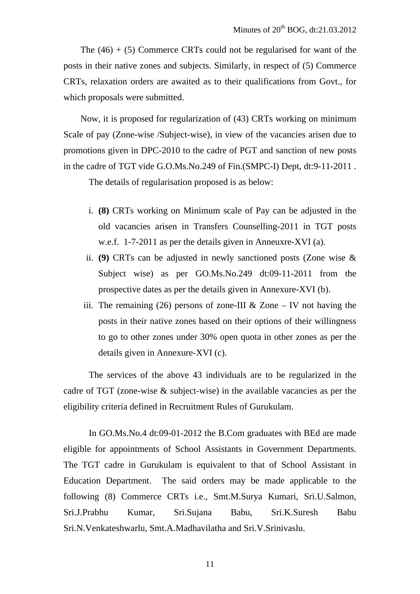The  $(46) + (5)$  Commerce CRTs could not be regularised for want of the posts in their native zones and subjects. Similarly, in respect of (5) Commerce CRTs, relaxation orders are awaited as to their qualifications from Govt., for which proposals were submitted.

Now, it is proposed for regularization of (43) CRTs working on minimum Scale of pay (Zone-wise /Subject-wise), in view of the vacancies arisen due to promotions given in DPC-2010 to the cadre of PGT and sanction of new posts in the cadre of TGT vide G.O.Ms.No.249 of Fin.(SMPC-I) Dept, dt:9-11-2011 .

The details of regularisation proposed is as below:

- i. **(8)** CRTs working on Minimum scale of Pay can be adjusted in the old vacancies arisen in Transfers Counselling-2011 in TGT posts w.e.f. 1-7-2011 as per the details given in Anneuxre-XVI (a).
- ii. **(9)** CRTs can be adjusted in newly sanctioned posts (Zone wise & Subject wise) as per GO.Ms.No.249 dt:09-11-2011 from the prospective dates as per the details given in Annexure-XVI (b).
- iii. The remaining (26) persons of zone-III & Zone IV not having the posts in their native zones based on their options of their willingness to go to other zones under 30% open quota in other zones as per the details given in Annexure-XVI (c).

The services of the above 43 individuals are to be regularized in the cadre of TGT (zone-wise & subject-wise) in the available vacancies as per the eligibility criteria defined in Recruitment Rules of Gurukulam.

In GO.Ms.No.4 dt:09-01-2012 the B.Com graduates with BEd are made eligible for appointments of School Assistants in Government Departments. The TGT cadre in Gurukulam is equivalent to that of School Assistant in Education Department. The said orders may be made applicable to the following (8) Commerce CRTs i.e., Smt.M.Surya Kumari, Sri.U.Salmon, Sri.J.Prabhu Kumar, Sri.Sujana Babu, Sri.K.Suresh Babu Sri.N.Venkateshwarlu, Smt.A.Madhavilatha and Sri.V.Srinivaslu.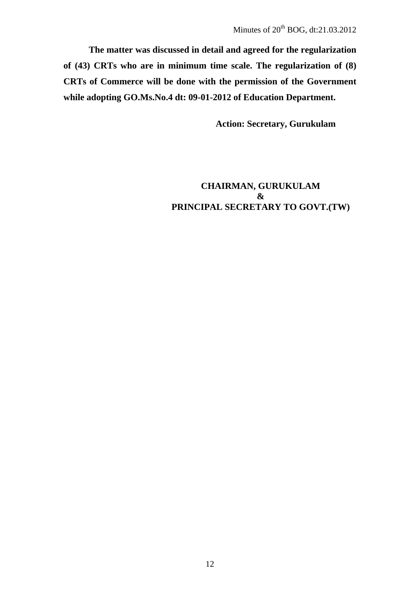**The matter was discussed in detail and agreed for the regularization of (43) CRTs who are in minimum time scale. The regularization of (8) CRTs of Commerce will be done with the permission of the Government while adopting GO.Ms.No.4 dt: 09-01-2012 of Education Department.** 

**Action: Secretary, Gurukulam**

# **CHAIRMAN, GURUKULAM & PRINCIPAL SECRETARY TO GOVT.(TW)**